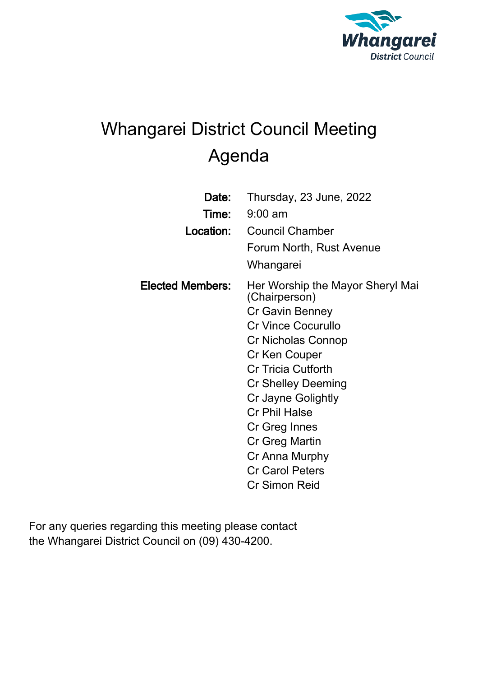

# Whangarei District Council Meeting Agenda

| Date:                   | Thursday, 23 June, 2022                           |
|-------------------------|---------------------------------------------------|
| Time:                   | $9:00$ am                                         |
| Location:               | <b>Council Chamber</b>                            |
|                         | Forum North, Rust Avenue                          |
|                         | Whangarei                                         |
| <b>Elected Members:</b> | Her Worship the Mayor Sheryl Mai<br>(Chairperson) |
|                         | Cr Gavin Benney                                   |
|                         | <b>Cr Vince Cocurullo</b>                         |
|                         | Cr Nicholas Connop                                |
|                         | Cr Ken Couper                                     |
|                         | <b>Cr Tricia Cutforth</b>                         |
|                         | Cr Shelley Deeming                                |
|                         | Cr Jayne Golightly                                |
|                         | <b>Cr Phil Halse</b>                              |
|                         | Cr Greg Innes                                     |
|                         | Cr Greg Martin                                    |
|                         | Cr Anna Murphy                                    |
|                         | <b>Cr Carol Peters</b>                            |
|                         | <b>Cr Simon Reid</b>                              |

For any queries regarding this meeting please contact the Whangarei District Council on (09) 430-4200.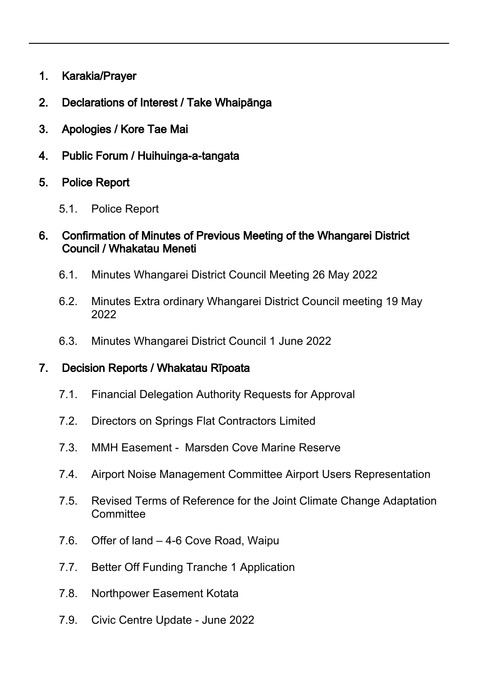- 1. Karakia/Prayer
- 2. Declarations of Interest / Take Whaipānga
- 3. Apologies / Kore Tae Mai
- 4. Public Forum / Huihuinga-a-tangata
- 5. Police Report
	- 5.1. Police Report

#### 6. Confirmation of Minutes of Previous Meeting of the Whangarei District Council / Whakatau Meneti

- 6.1. Minutes Whangarei District Council Meeting 26 May 2022
- 6.2. Minutes Extra ordinary Whangarei District Council meeting 19 May 2022
- 6.3. Minutes Whangarei District Council 1 June 2022

#### 7. Decision Reports / Whakatau Rīpoata

- 7.1. Financial Delegation Authority Requests for Approval
- 7.2. Directors on Springs Flat Contractors Limited
- 7.3. MMH Easement Marsden Cove Marine Reserve
- 7.4. Airport Noise Management Committee Airport Users Representation
- 7.5. Revised Terms of Reference for the Joint Climate Change Adaptation **Committee**
- 7.6. Offer of land 4-6 Cove Road, Waipu
- 7.7. Better Off Funding Tranche 1 Application
- 7.8. Northpower Easement Kotata
- 7.9. Civic Centre Update June 2022